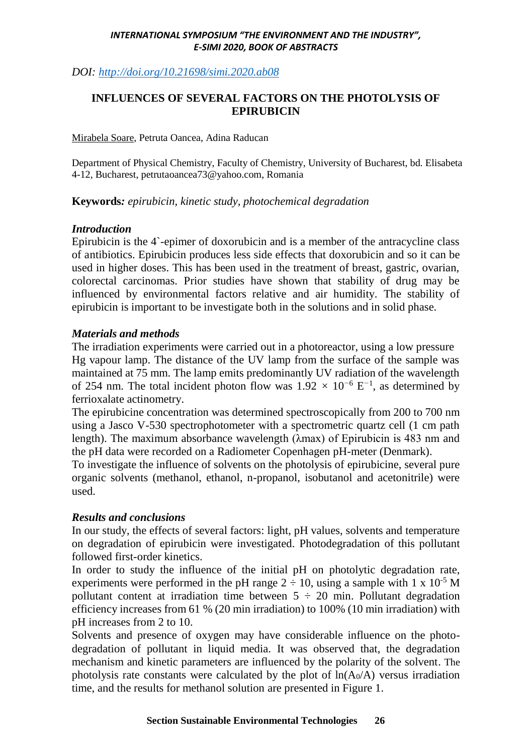#### *INTERNATIONAL SYMPOSIUM "THE ENVIRONMENT AND THE INDUSTRY", E-SIMI 2020, BOOK OF ABSTRACTS*

# *DOI:<http://doi.org/10.21698/simi.2020.ab08>*

# **INFLUENCES OF SEVERAL FACTORS ON THE PHOTOLYSIS OF EPIRUBICIN**

Mirabela Soare, Petruta Oancea, Adina Raducan

Department of Physical Chemistry, Faculty of Chemistry, University of Bucharest, bd. Elisabeta 4-12, Bucharest[, petrutaoancea73@yahoo.com,](mailto:petrutaoancea73@yahoo.com) Romania

**Keywords***: epirubicin, kinetic study, photochemical degradation* 

### *Introduction*

Epirubicin is the 4`-epimer of doxorubicin and is a member of the antracycline class of antibiotics. Epirubicin produces less side effects that doxorubicin and so it can be used in higher doses. This has been used in the treatment of breast, gastric, ovarian, colorectal carcinomas. Prior studies have shown that stability of drug may be influenced by environmental factors relative and air humidity. The stability of epirubicin is important to be investigate both in the solutions and in solid phase.

## *Materials and methods*

The irradiation experiments were carried out in a photoreactor, using a low pressure Hg vapour lamp. The distance of the UV lamp from the surface of the sample was maintained at 75 mm. The lamp emits predominantly UV radiation of the wavelength of 254 nm. The total incident photon flow was 1.92 *×* 10*<sup>−</sup>*<sup>6</sup> E *−*1 , as determined by ferrioxalate actinometry.

The epirubicine concentration was determined spectroscopically from 200 to 700 nm using a Jasco V-530 spectrophotometer with a spectrometric quartz cell (1 cm path length). The maximum absorbance wavelength (λmax) of Epirubicin is 483 nm and the pH data were recorded on a Radiometer Copenhagen pH-meter (Denmark).

To investigate the influence of solvents on the photolysis of epirubicine, several pure organic solvents (methanol, ethanol, n-propanol, isobutanol and acetonitrile) were used.

## *Results and conclusions*

In our study, the effects of several factors: light, pH values, solvents and temperature on degradation of epirubicin were investigated. Photodegradation of this pollutant followed first-order kinetics.

In order to study the influence of the initial pH on photolytic degradation rate, experiments were performed in the pH range  $2 \div 10$ , using a sample with 1 x 10<sup>-5</sup> M pollutant content at irradiation time between  $5 \div 20$  min. Pollutant degradation efficiency increases from 61 % (20 min irradiation) to 100% (10 min irradiation) with pH increases from 2 to 10.

Solvents and presence of oxygen may have considerable influence on the photodegradation of pollutant in liquid media. It was observed that, the degradation mechanism and kinetic parameters are influenced by the polarity of the solvent. The photolysis rate constants were calculated by the plot of  $ln(A_0/A)$  versus irradiation time, and the results for methanol solution are presented in Figure 1.